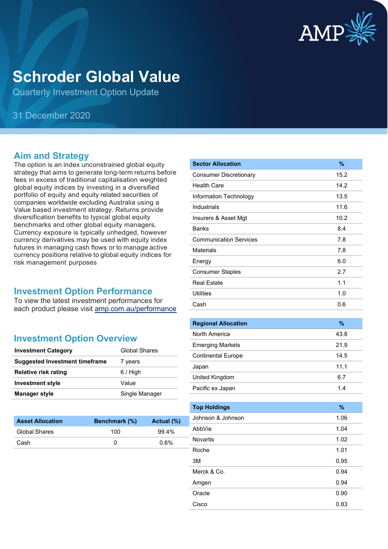

# **Schroder Global Value**

Quarterly Investment Option Update

## 31 December 2020

#### **Aim and Strategy**

The option is an index unconstrained global equity strategy that aims to generate long-term returns before fees in excess of traditional capitalisation weighted global equity indices by investing in a diversified portfolio of equity and equity related securities of companies worldwide excluding Australia using a Value based investment strategy. Returns provide diversification benefits to typical global equity benchmarks and other global equity managers. Currency exposure is typically unhedged, however currency derivatives may be used with equity index futures in managing cash flows or to manage active currency positions relative to global equity indices for risk management purposes

#### **Investment Option Performance**

To view the latest investment performances for each product please visit [amp.com.au/performance](https://www.amp.com.au/performance)

#### **Investment Option Overview**

| <b>Investment Category</b>            | <b>Global Shares</b> |
|---------------------------------------|----------------------|
| <b>Suggested Investment timeframe</b> | 7 years              |
| <b>Relative risk rating</b>           | $6/$ High            |
| <b>Investment style</b>               | Value                |
| <b>Manager style</b>                  | Single Manager       |

| <b>Asset Allocation</b> | <b>Benchmark</b> (%) | Actual (%) |
|-------------------------|----------------------|------------|
| Global Shares           | 100                  | $99.4\%$   |
| Cash                    |                      | $0.6\%$    |
|                         |                      |            |

| <b>Sector Allocation</b>      | %    |
|-------------------------------|------|
| <b>Consumer Discretionary</b> | 15.2 |
| <b>Health Care</b>            | 14.2 |
| Information Technology        | 13.5 |
| Industrials                   | 11.6 |
| Insurers & Asset Mgt          | 10.2 |
| <b>Banks</b>                  | 8.4  |
| <b>Communication Services</b> | 7.8  |
| <b>Materials</b>              | 7.8  |
| Energy                        | 6.0  |
| <b>Consumer Staples</b>       | 2.7  |
| <b>Real Estate</b>            | 1.1  |
| Utilities                     | 1.0  |
| Cash                          | 0.6  |
|                               |      |

| <b>Regional Allocation</b> | $\%$ |
|----------------------------|------|
| North America              | 43.8 |
| <b>Emerging Markets</b>    | 21.9 |
| <b>Continental Europe</b>  | 14.5 |
| Japan                      | 11.1 |
| United Kingdom             | 6.7  |
| Pacific ex Japan           | 1.4  |

| <b>Top Holdings</b> | $\%$ |
|---------------------|------|
| Johnson & Johnson   | 1.06 |
| AbbVie              | 1.04 |
| <b>Novartis</b>     | 1.02 |
| Roche               | 1.01 |
| 3M                  | 0.95 |
| Merck & Co.         | 0.94 |
| Amgen               | 0.94 |
| Oracle              | 0.90 |
| Cisco               | 0.83 |
|                     |      |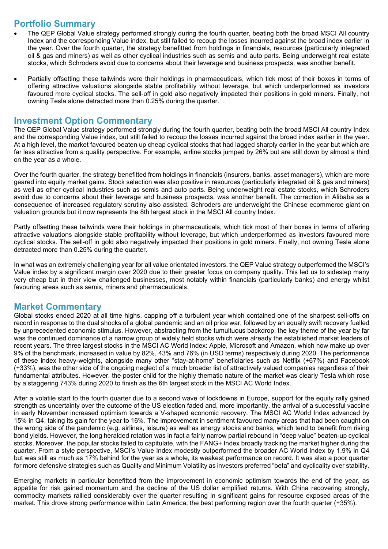## **Portfolio Summary**

- The QEP Global Value strategy performed strongly during the fourth quarter, beating both the broad MSCI All country Index and the corresponding Value index, but still failed to recoup the losses incurred against the broad index earlier in the year. Over the fourth quarter, the strategy benefitted from holdings in financials, resources (particularly integrated oil & gas and miners) as well as other cyclical industries such as semis and auto parts. Being underweight real estate stocks, which Schroders avoid due to concerns about their leverage and business prospects, was another benefit.
- Partially offsetting these tailwinds were their holdings in pharmaceuticals, which tick most of their boxes in terms of offering attractive valuations alongside stable profitability without leverage, but which underperformed as investors favoured more cyclical stocks. The sell-off in gold also negatively impacted their positions in gold miners. Finally, not owning Tesla alone detracted more than 0.25% during the quarter.

#### **Investment Option Commentary**

The QEP Global Value strategy performed strongly during the fourth quarter, beating both the broad MSCI All country Index and the corresponding Value index, but still failed to recoup the losses incurred against the broad index earlier in the year. At a high level, the market favoured beaten up cheap cyclical stocks that had lagged sharply earlier in the year but which are far less attractive from a quality perspective. For example, airline stocks jumped by 26% but are still down by almost a third on the year as a whole.

Over the fourth quarter, the strategy benefitted from holdings in financials (insurers, banks, asset managers), which are more geared into equity market gains. Stock selection was also positive in resources (particularly integrated oil & gas and miners) as well as other cyclical industries such as semis and auto parts. Being underweight real estate stocks, which Schroders avoid due to concerns about their leverage and business prospects, was another benefit. The correction in Alibaba as a consequence of increased regulatory scrutiny also assisted. Schroders are underweight the Chinese ecommerce giant on valuation grounds but it now represents the 8th largest stock in the MSCI All country Index.

Partly offsetting these tailwinds were their holdings in pharmaceuticals, which tick most of their boxes in terms of offering attractive valuations alongside stable profitability without leverage, but which underperformed as investors favoured more cyclical stocks. The sell-off in gold also negatively impacted their positions in gold miners. Finally, not owning Tesla alone detracted more than 0.25% during the quarter.

In what was an extremely challenging year for all value orientated investors, the QEP Value strategy outperformed the MSCI's Value index by a significant margin over 2020 due to their greater focus on company quality. This led us to sidestep many very cheap but in their view challenged businesses, most notably within financials (particularly banks) and energy whilst favouring areas such as semis, miners and pharmaceuticals.

#### **Market Commentary**

Global stocks ended 2020 at all time highs, capping off a turbulent year which contained one of the sharpest sell-offs on record in response to the dual shocks of a global pandemic and an oil price war, followed by an equally swift recovery fuelled by unprecedented economic stimulus. However, abstracting from the tumultuous backdrop, the key theme of the year by far was the continued dominance of a narrow group of widely held stocks which were already the established market leaders of recent years. The three largest stocks in the MSCI AC World Index: Apple, Microsoft and Amazon, which now make up over 9% of the benchmark, increased in value by 82%, 43% and 76% (in USD terms) respectively during 2020. The performance of these index heavy-weights, alongside many other "stay-at-home" beneficiaries such as Netflix (+67%) and Facebook (+33%), was the other side of the ongoing neglect of a much broader list of attractively valued companies regardless of their fundamental attributes. However, the poster child for the highly thematic nature of the market was clearly Tesla which rose by a staggering 743% during 2020 to finish as the 6th largest stock in the MSCI AC World Index.

After a volatile start to the fourth quarter due to a second wave of lockdowns in Europe, support for the equity rally gained strength as uncertainty over the outcome of the US election faded and, more importantly, the arrival of a successful vaccine in early November increased optimism towards a V-shaped economic recovery. The MSCI AC World Index advanced by 15% in Q4, taking its gain for the year to 16%. The improvement in sentiment favoured many areas that had been caught on the wrong side of the pandemic (e.g. airlines, leisure) as well as energy stocks and banks, which tend to benefit from rising bond yields. However, the long heralded rotation was in fact a fairly narrow partial rebound in "deep value" beaten-up cyclical stocks. Moreover, the popular stocks failed to capitulate, with the FANG+ Index broadly tracking the market higher during the quarter. From a style perspective, MSCI's Value Index modestly outperformed the broader AC World Index by 1.9% in Q4 but was still as much as 17% behind for the year as a whole, its weakest performance on record. It was also a poor quarter for more defensive strategies such as Quality and Minimum Volatility as investors preferred "beta" and cyclicality over stability.

Emerging markets in particular benefitted from the improvement in economic optimism towards the end of the year, as appetite for risk gained momentum and the decline of the US dollar amplified returns. With China recovering strongly, commodity markets rallied considerably over the quarter resulting in significant gains for resource exposed areas of the market. This drove strong performance within Latin America, the best performing region over the fourth quarter (+35%).